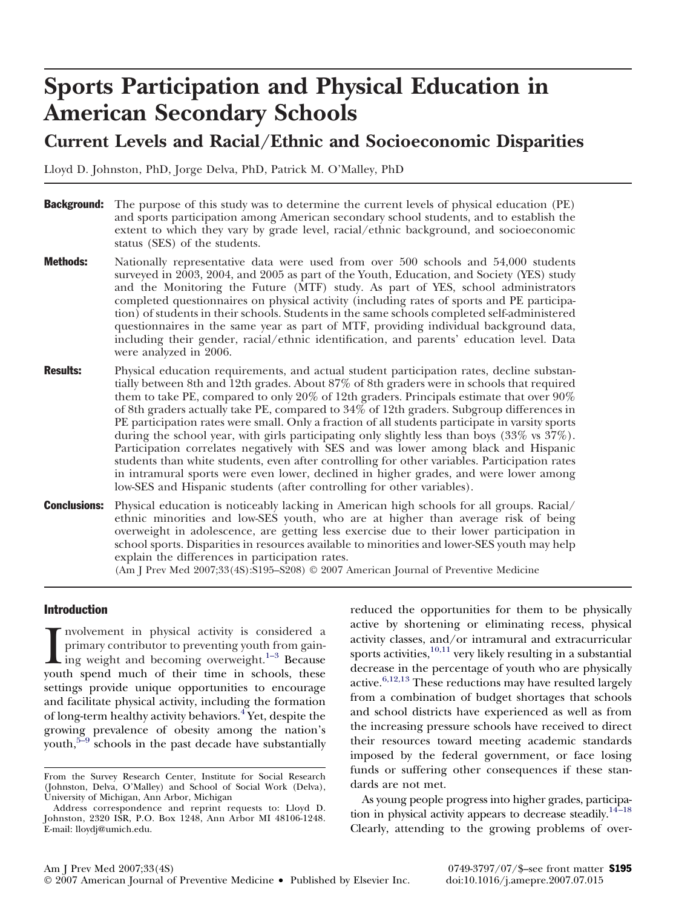# **Sports Participation and Physical Education in American Secondary Schools**

# **Current Levels and Racial/Ethnic and Socioeconomic Disparities**

Lloyd D. Johnston, PhD, Jorge Delva, PhD, Patrick M. O'Malley, PhD

- **Background:** The purpose of this study was to determine the current levels of physical education (PE) and sports participation among American secondary school students, and to establish the extent to which they vary by grade level, racial/ethnic background, and socioeconomic status (SES) of the students.
- **Methods:** Nationally representative data were used from over 500 schools and 54,000 students surveyed in 2003, 2004, and 2005 as part of the Youth, Education, and Society (YES) study and the Monitoring the Future (MTF) study. As part of YES, school administrators completed questionnaires on physical activity (including rates of sports and PE participation) of students in their schools. Students in the same schools completed self-administered questionnaires in the same year as part of MTF, providing individual background data, including their gender, racial/ethnic identification, and parents' education level. Data were analyzed in 2006.
- **Results:** Physical education requirements, and actual student participation rates, decline substantially between 8th and 12th grades. About 87% of 8th graders were in schools that required them to take PE, compared to only 20% of 12th graders. Principals estimate that over 90% of 8th graders actually take PE, compared to 34% of 12th graders. Subgroup differences in PE participation rates were small. Only a fraction of all students participate in varsity sports during the school year, with girls participating only slightly less than boys (33% vs 37%). Participation correlates negatively with SES and was lower among black and Hispanic students than white students, even after controlling for other variables. Participation rates in intramural sports were even lower, declined in higher grades, and were lower among low-SES and Hispanic students (after controlling for other variables).
- **Conclusions:** Physical education is noticeably lacking in American high schools for all groups. Racial/ ethnic minorities and low-SES youth, who are at higher than average risk of being overweight in adolescence, are getting less exercise due to their lower participation in school sports. Disparities in resources available to minorities and lower-SES youth may help explain the differences in participation rates.

(Am J Prev Med 2007;33(4S):S195–S208) © 2007 American Journal of Preventive Medicine

# Introduction

I nvolvement in physical activity is considered a<br>primary contributor to preventing youth from gain-<br>ing weight and becoming overweight.<sup>1-3</sup> Because<br>youth spend much of their time in schools, these nvolvement in physical activity is considered a primary contributor to preventing youth from gaining weight and becoming overweight. $1-3$  Because settings provide unique opportunities to encourage and facilitate physical activity, including the formation of long-term healthy activity behaviors.<sup>[4](#page-12-0)</sup> Yet, despite the growing prevalence of obesity among the nation's youth, $5-9$  schools in the past decade have substantially

reduced the opportunities for them to be physically active by shortening or eliminating recess, physical activity classes, and/or intramural and extracurricular sports activities, $10,11$  very likely resulting in a substantial decrease in the percentage of youth who are physically active.[6,12,13](#page-12-0) These reductions may have resulted largely from a combination of budget shortages that schools and school districts have experienced as well as from the increasing pressure schools have received to direct their resources toward meeting academic standards imposed by the federal government, or face losing funds or suffering other consequences if these standards are not met.

As young people progress into higher grades, participation in physical activity appears to decrease steadily.<sup>14-18</sup> Clearly, attending to the growing problems of over-

From the Survey Research Center, Institute for Social Research (Johnston, Delva, O'Malley) and School of Social Work (Delva), University of Michigan, Ann Arbor, Michigan

Address correspondence and reprint requests to: Lloyd D. Johnston, 2320 ISR, P.O. Box 1248, Ann Arbor MI 48106-1248. E-mail: lloydj@umich.edu.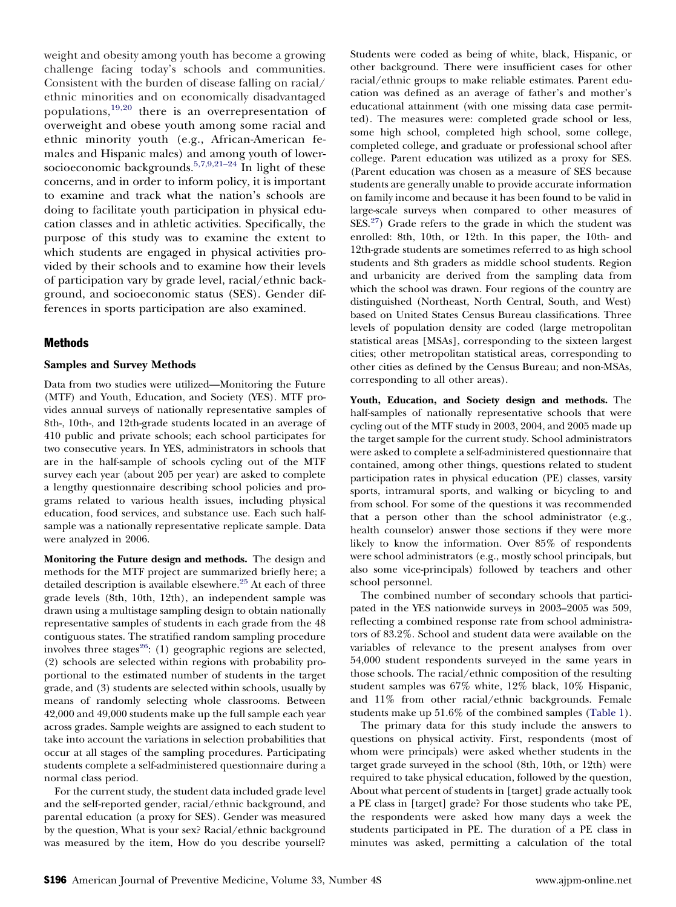weight and obesity among youth has become a growing challenge facing today's schools and communities. Consistent with the burden of disease falling on racial/ ethnic minorities and on economically disadvantaged populations,[19,20](#page-12-0) there is an overrepresentation of overweight and obese youth among some racial and ethnic minority youth (e.g., African-American females and Hispanic males) and among youth of lower-socioeconomic backgrounds.<sup>[5,7,9,21–24](#page-12-0)</sup> In light of these concerns, and in order to inform policy, it is important to examine and track what the nation's schools are doing to facilitate youth participation in physical education classes and in athletic activities. Specifically, the purpose of this study was to examine the extent to which students are engaged in physical activities provided by their schools and to examine how their levels of participation vary by grade level, racial/ethnic background, and socioeconomic status (SES). Gender differences in sports participation are also examined.

# Methods

## **Samples and Survey Methods**

Data from two studies were utilized—Monitoring the Future (MTF) and Youth, Education, and Society (YES). MTF provides annual surveys of nationally representative samples of 8th-, 10th-, and 12th-grade students located in an average of 410 public and private schools; each school participates for two consecutive years. In YES, administrators in schools that are in the half-sample of schools cycling out of the MTF survey each year (about 205 per year) are asked to complete a lengthy questionnaire describing school policies and programs related to various health issues, including physical education, food services, and substance use. Each such halfsample was a nationally representative replicate sample. Data were analyzed in 2006.

**Monitoring the Future design and methods.** The design and methods for the MTF project are summarized briefly here; a detailed description is available elsewhere.<sup>25</sup> At each of three grade levels (8th, 10th, 12th), an independent sample was drawn using a multistage sampling design to obtain nationally representative samples of students in each grade from the 48 contiguous states. The stratified random sampling procedure involves three stages<sup>26</sup>: (1) geographic regions are selected, (2) schools are selected within regions with probability proportional to the estimated number of students in the target grade, and (3) students are selected within schools, usually by means of randomly selecting whole classrooms. Between 42,000 and 49,000 students make up the full sample each year across grades. Sample weights are assigned to each student to take into account the variations in selection probabilities that occur at all stages of the sampling procedures. Participating students complete a self-administered questionnaire during a normal class period.

For the current study, the student data included grade level and the self-reported gender, racial/ethnic background, and parental education (a proxy for SES). Gender was measured by the question, What is your sex? Racial/ethnic background was measured by the item, How do you describe yourself? Students were coded as being of white, black, Hispanic, or other background. There were insufficient cases for other racial/ethnic groups to make reliable estimates. Parent education was defined as an average of father's and mother's educational attainment (with one missing data case permitted). The measures were: completed grade school or less, some high school, completed high school, some college, completed college, and graduate or professional school after college. Parent education was utilized as a proxy for SES. (Parent education was chosen as a measure of SES because students are generally unable to provide accurate information on family income and because it has been found to be valid in large-scale surveys when compared to other measures of  $SES<sup>27</sup>$  Grade refers to the grade in which the student was enrolled: 8th, 10th, or 12th. In this paper, the 10th- and 12th-grade students are sometimes referred to as high school students and 8th graders as middle school students. Region and urbanicity are derived from the sampling data from which the school was drawn. Four regions of the country are distinguished (Northeast, North Central, South, and West) based on United States Census Bureau classifications. Three levels of population density are coded (large metropolitan statistical areas [MSAs], corresponding to the sixteen largest cities; other metropolitan statistical areas, corresponding to other cities as defined by the Census Bureau; and non-MSAs, corresponding to all other areas).

**Youth, Education, and Society design and methods.** The half-samples of nationally representative schools that were cycling out of the MTF study in 2003, 2004, and 2005 made up the target sample for the current study. School administrators were asked to complete a self-administered questionnaire that contained, among other things, questions related to student participation rates in physical education (PE) classes, varsity sports, intramural sports, and walking or bicycling to and from school. For some of the questions it was recommended that a person other than the school administrator (e.g., health counselor) answer those sections if they were more likely to know the information. Over 85% of respondents were school administrators (e.g., mostly school principals, but also some vice-principals) followed by teachers and other school personnel.

The combined number of secondary schools that participated in the YES nationwide surveys in 2003–2005 was 509, reflecting a combined response rate from school administrators of 83.2%. School and student data were available on the variables of relevance to the present analyses from over 54,000 student respondents surveyed in the same years in those schools. The racial/ethnic composition of the resulting student samples was 67% white, 12% black, 10% Hispanic, and 11% from other racial/ethnic backgrounds. Female students make up 51.6% of the combined samples [\(Table 1\)](#page-2-0).

The primary data for this study include the answers to questions on physical activity. First, respondents (most of whom were principals) were asked whether students in the target grade surveyed in the school (8th, 10th, or 12th) were required to take physical education, followed by the question, About what percent of students in [target] grade actually took a PE class in [target] grade? For those students who take PE, the respondents were asked how many days a week the students participated in PE. The duration of a PE class in minutes was asked, permitting a calculation of the total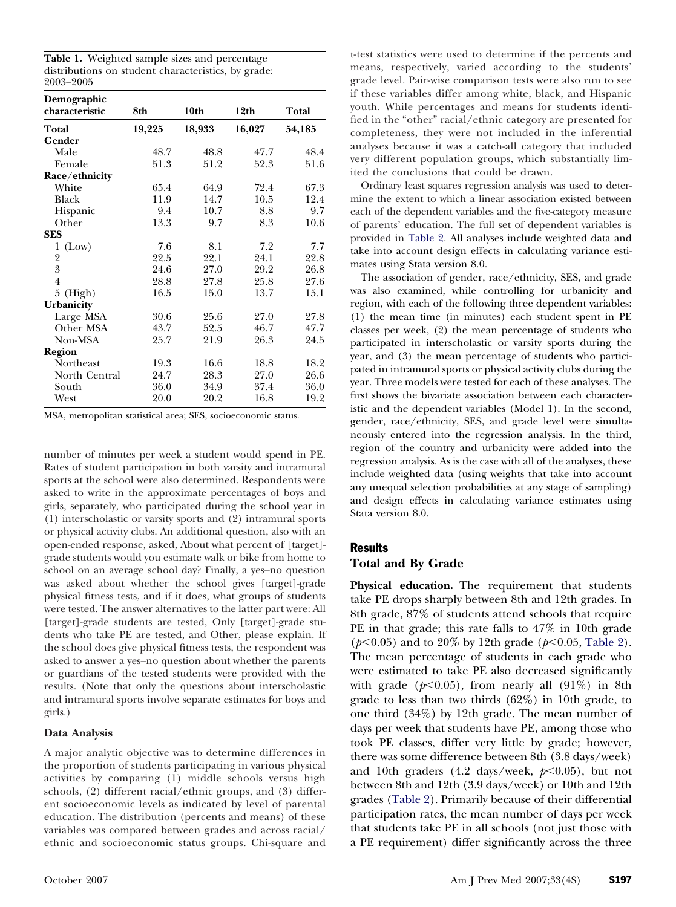<span id="page-2-0"></span>

| <b>Table 1.</b> Weighted sample sizes and percentage |  |  |  |
|------------------------------------------------------|--|--|--|
| distributions on student characteristics, by grade:  |  |  |  |
| 2003-2005                                            |  |  |  |

| Demographic    |        |        |        |        |
|----------------|--------|--------|--------|--------|
| characteristic | 8th    | 10th   | 12th   | Total  |
| Total          | 19,225 | 18,933 | 16,027 | 54,185 |
| Gender         |        |        |        |        |
| Male           | 48.7   | 48.8   | 47.7   | 48.4   |
| Female         | 51.3   | 51.2   | 52.3   | 51.6   |
| Race/ethnicity |        |        |        |        |
| White          | 65.4   | 64.9   | 72.4   | 67.3   |
| <b>Black</b>   | 11.9   | 14.7   | 10.5   | 12.4   |
| Hispanic       | 9.4    | 10.7   | 8.8    | 9.7    |
| Other          | 13.3   | 9.7    | 8.3    | 10.6   |
| <b>SES</b>     |        |        |        |        |
| (Low)<br>1     | 7.6    | 8.1    | 7.2    | 7.7    |
|                | 22.5   | 22.1   | 24.1   | 22.8   |
| $\frac{2}{3}$  | 24.6   | 27.0   | 29.2   | 26.8   |
| $\overline{4}$ | 28.8   | 27.8   | 25.8   | 27.6   |
| 5<br>(High)    | 16.5   | 15.0   | 13.7   | 15.1   |
| Urbanicity     |        |        |        |        |
| Large MSA      | 30.6   | 25.6   | 27.0   | 27.8   |
| Other MSA      | 43.7   | 52.5   | 46.7   | 47.7   |
| Non-MSA        | 25.7   | 21.9   | 26.3   | 24.5   |
| <b>Region</b>  |        |        |        |        |
| Northeast      | 19.3   | 16.6   | 18.8   | 18.2   |
| North Central  | 24.7   | 28.3   | 27.0   | 26.6   |
| South          | 36.0   | 34.9   | 37.4   | 36.0   |
| West           | 20.0   | 20.2   | 16.8   | 19.2   |

MSA, metropolitan statistical area; SES, socioeconomic status.

number of minutes per week a student would spend in PE. Rates of student participation in both varsity and intramural sports at the school were also determined. Respondents were asked to write in the approximate percentages of boys and girls, separately, who participated during the school year in (1) interscholastic or varsity sports and (2) intramural sports or physical activity clubs. An additional question, also with an open-ended response, asked, About what percent of [target] grade students would you estimate walk or bike from home to school on an average school day? Finally, a yes–no question was asked about whether the school gives [target]-grade physical fitness tests, and if it does, what groups of students were tested. The answer alternatives to the latter part were: All [target]-grade students are tested, Only [target]-grade students who take PE are tested, and Other, please explain. If the school does give physical fitness tests, the respondent was asked to answer a yes–no question about whether the parents or guardians of the tested students were provided with the results. (Note that only the questions about interscholastic and intramural sports involve separate estimates for boys and girls.)

# **Data Analysis**

A major analytic objective was to determine differences in the proportion of students participating in various physical activities by comparing (1) middle schools versus high schools, (2) different racial/ethnic groups, and (3) different socioeconomic levels as indicated by level of parental education. The distribution (percents and means) of these variables was compared between grades and across racial/ ethnic and socioeconomic status groups. Chi-square and t-test statistics were used to determine if the percents and means, respectively, varied according to the students' grade level. Pair-wise comparison tests were also run to see if these variables differ among white, black, and Hispanic youth. While percentages and means for students identified in the "other" racial/ethnic category are presented for completeness, they were not included in the inferential analyses because it was a catch-all category that included very different population groups, which substantially limited the conclusions that could be drawn.

Ordinary least squares regression analysis was used to determine the extent to which a linear association existed between each of the dependent variables and the five-category measure of parents' education. The full set of dependent variables is provided in [Table 2.](#page-3-0) All analyses include weighted data and take into account design effects in calculating variance estimates using Stata version 8.0.

The association of gender, race/ethnicity, SES, and grade was also examined, while controlling for urbanicity and region, with each of the following three dependent variables: (1) the mean time (in minutes) each student spent in PE classes per week, (2) the mean percentage of students who participated in interscholastic or varsity sports during the year, and (3) the mean percentage of students who participated in intramural sports or physical activity clubs during the year. Three models were tested for each of these analyses. The first shows the bivariate association between each characteristic and the dependent variables (Model 1). In the second, gender, race/ethnicity, SES, and grade level were simultaneously entered into the regression analysis. In the third, region of the country and urbanicity were added into the regression analysis. As is the case with all of the analyses, these include weighted data (using weights that take into account any unequal selection probabilities at any stage of sampling) and design effects in calculating variance estimates using Stata version 8.0.

# **Results**

# **Total and By Grade**

**Physical education.** The requirement that students take PE drops sharply between 8th and 12th grades. In 8th grade, 87% of students attend schools that require PE in that grade; this rate falls to 47% in 10th grade ( $p<0.05$ ) and to 20% by 12th grade ( $p<0.05$ , [Table 2\)](#page-3-0). The mean percentage of students in each grade who were estimated to take PE also decreased significantly with grade  $(p<0.05)$ , from nearly all  $(91\%)$  in 8th grade to less than two thirds (62%) in 10th grade, to one third (34%) by 12th grade. The mean number of days per week that students have PE, among those who took PE classes, differ very little by grade; however, there was some difference between 8th (3.8 days/week) and 10th graders  $(4.2 \text{ days}/\text{week}, \cancel{p}<0.05)$ , but not between 8th and 12th (3.9 days/week) or 10th and 12th grades [\(Table 2\)](#page-3-0). Primarily because of their differential participation rates, the mean number of days per week that students take PE in all schools (not just those with a PE requirement) differ significantly across the three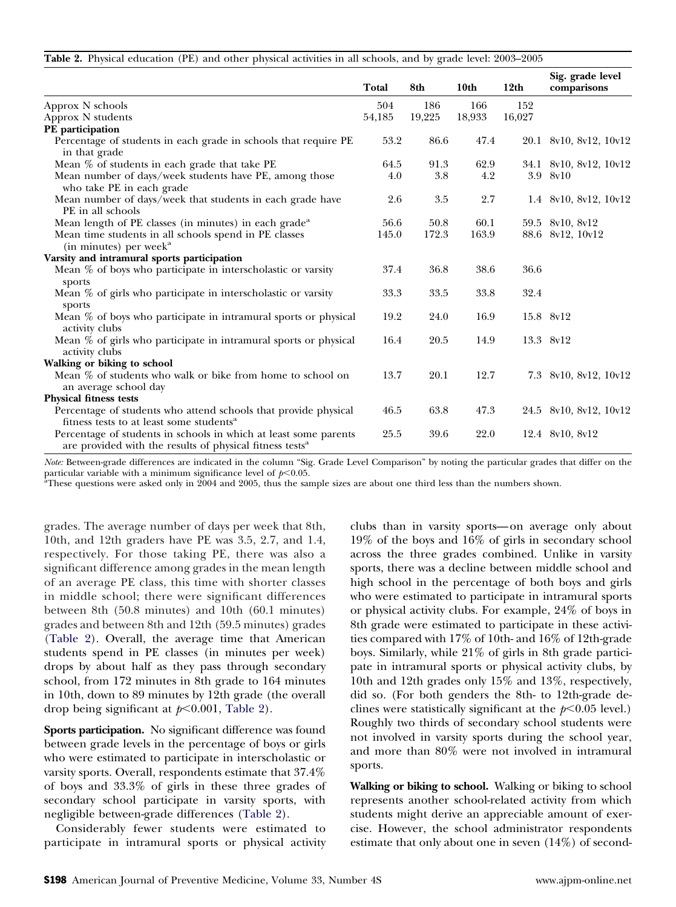<span id="page-3-0"></span>**Table 2.** Physical education (PE) and other physical activities in all schools, and by grade level: 2003–2005

|                                                                                                                                          | Total  | 8th    | 10 <sub>th</sub> | 12 <sub>th</sub> | Sig. grade level<br>comparisons |
|------------------------------------------------------------------------------------------------------------------------------------------|--------|--------|------------------|------------------|---------------------------------|
| Approx N schools                                                                                                                         | 504    | 186    | 166              | 152              |                                 |
| Approx N students                                                                                                                        | 54,185 | 19,225 | 18,933           | 16,027           |                                 |
| PE participation                                                                                                                         |        |        |                  |                  |                                 |
| Percentage of students in each grade in schools that require PE<br>in that grade                                                         | 53.2   | 86.6   | 47.4             |                  | 20.1 8v10, 8v12, 10v12          |
| Mean % of students in each grade that take PE                                                                                            | 64.5   | 91.3   | 62.9             |                  | 34.1 8v10, 8v12, 10v12          |
| Mean number of days/week students have PE, among those<br>who take PE in each grade                                                      | 4.0    | 3.8    | 4.2              |                  | 3.9 8v10                        |
| Mean number of days/week that students in each grade have<br>PE in all schools                                                           | 2.6    | 3.5    | 2.7              |                  | 1.4 8v10, 8v12, 10v12           |
| Mean length of PE classes (in minutes) in each grade <sup>a</sup>                                                                        | 56.6   | 50.8   | 60.1             |                  | 59.5 8v10, 8v12                 |
| Mean time students in all schools spend in PE classes<br>(in minutes) per week <sup>a</sup>                                              | 145.0  | 172.3  | 163.9            |                  | 88.6 8v12, 10v12                |
| Varsity and intramural sports participation                                                                                              |        |        |                  |                  |                                 |
| Mean % of boys who participate in interscholastic or varsity<br>sports                                                                   | 37.4   | 36.8   | 38.6             | 36.6             |                                 |
| Mean % of girls who participate in interscholastic or varsity<br>sports                                                                  | 33.3   | 33.5   | 33.8             | 32.4             |                                 |
| Mean % of boys who participate in intramural sports or physical<br>activity clubs                                                        | 19.2   | 24.0   | 16.9             |                  | 15.8 8v12                       |
| Mean % of girls who participate in intramural sports or physical<br>activity clubs                                                       | 16.4   | 20.5   | 14.9             |                  | 13.3 8v12                       |
| Walking or biking to school                                                                                                              |        |        |                  |                  |                                 |
| Mean % of students who walk or bike from home to school on<br>an average school day                                                      | 13.7   | 20.1   | 12.7             |                  | 7.3 8v10, 8v12, 10v12           |
| <b>Physical fitness tests</b>                                                                                                            |        |        |                  |                  |                                 |
| Percentage of students who attend schools that provide physical<br>fitness tests to at least some students <sup>a</sup>                  | 46.5   | 63.8   | 47.3             |                  | 24.5 8v10, 8v12, 10v12          |
| Percentage of students in schools in which at least some parents<br>are provided with the results of physical fitness tests <sup>a</sup> | 25.5   | 39.6   | 22.0             |                  | 12.4 8v10, 8v12                 |

*Note:* Between-grade differences are indicated in the column "Sig. Grade Level Comparison" by noting the particular grades that differ on the particular variable with a minimum significance level of  $p<0.05$ .

These questions were asked only in 2004 and 2005, thus the sample sizes are about one third less than the numbers shown.

grades. The average number of days per week that 8th, 10th, and 12th graders have PE was 3.5, 2.7, and 1.4, respectively. For those taking PE, there was also a significant difference among grades in the mean length of an average PE class, this time with shorter classes in middle school; there were significant differences between 8th (50.8 minutes) and 10th (60.1 minutes) grades and between 8th and 12th (59.5 minutes) grades (Table 2). Overall, the average time that American students spend in PE classes (in minutes per week) drops by about half as they pass through secondary school, from 172 minutes in 8th grade to 164 minutes in 10th, down to 89 minutes by 12th grade (the overall drop being significant at  $p<0.001$ , Table 2).

**Sports participation.** No significant difference was found between grade levels in the percentage of boys or girls who were estimated to participate in interscholastic or varsity sports. Overall, respondents estimate that 37.4% of boys and 33.3% of girls in these three grades of secondary school participate in varsity sports, with negligible between-grade differences (Table 2).

Considerably fewer students were estimated to participate in intramural sports or physical activity clubs than in varsity sports—on average only about 19% of the boys and 16% of girls in secondary school across the three grades combined. Unlike in varsity sports, there was a decline between middle school and high school in the percentage of both boys and girls who were estimated to participate in intramural sports or physical activity clubs. For example, 24% of boys in 8th grade were estimated to participate in these activities compared with 17% of 10th- and 16% of 12th-grade boys. Similarly, while 21% of girls in 8th grade participate in intramural sports or physical activity clubs, by 10th and 12th grades only 15% and 13%, respectively, did so. (For both genders the 8th- to 12th-grade declines were statistically significant at the  $p<0.05$  level.) Roughly two thirds of secondary school students were not involved in varsity sports during the school year, and more than 80% were not involved in intramural sports.

**Walking or biking to school.** Walking or biking to school represents another school-related activity from which students might derive an appreciable amount of exercise. However, the school administrator respondents estimate that only about one in seven (14%) of second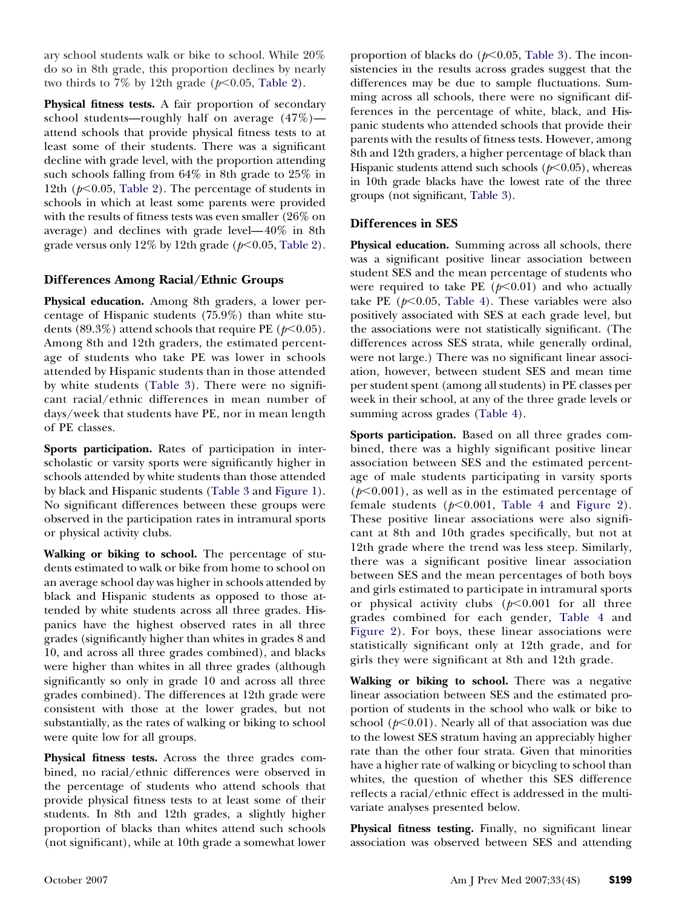ary school students walk or bike to school. While 20% do so in 8th grade, this proportion declines by nearly two thirds to 7% by 12th grade  $(p<0.05,$  [Table 2\)](#page-3-0).

**Physical fitness tests.** A fair proportion of secondary school students—roughly half on average (47%) attend schools that provide physical fitness tests to at least some of their students. There was a significant decline with grade level, with the proportion attending such schools falling from 64% in 8th grade to 25% in 12th  $(p<0.05$ , [Table 2\)](#page-3-0). The percentage of students in schools in which at least some parents were provided with the results of fitness tests was even smaller (26% on average) and declines with grade level—40% in 8th grade versus only 12% by 12th grade  $(p<0.05$ , [Table 2\)](#page-3-0).

# **Differences Among Racial/Ethnic Groups**

**Physical education.** Among 8th graders, a lower percentage of Hispanic students (75.9%) than white students (89.3%) attend schools that require PE ( $p<0.05$ ). Among 8th and 12th graders, the estimated percentage of students who take PE was lower in schools attended by Hispanic students than in those attended by white students [\(Table 3\)](#page-5-0). There were no significant racial/ethnic differences in mean number of days/week that students have PE, nor in mean length of PE classes.

**Sports participation.** Rates of participation in interscholastic or varsity sports were significantly higher in schools attended by white students than those attended by black and Hispanic students [\(Table 3](#page-5-0) and [Figure 1\)](#page-6-0). No significant differences between these groups were observed in the participation rates in intramural sports or physical activity clubs.

**Walking or biking to school.** The percentage of students estimated to walk or bike from home to school on an average school day was higher in schools attended by black and Hispanic students as opposed to those attended by white students across all three grades. Hispanics have the highest observed rates in all three grades (significantly higher than whites in grades 8 and 10, and across all three grades combined), and blacks were higher than whites in all three grades (although significantly so only in grade 10 and across all three grades combined). The differences at 12th grade were consistent with those at the lower grades, but not substantially, as the rates of walking or biking to school were quite low for all groups.

**Physical fitness tests.** Across the three grades combined, no racial/ethnic differences were observed in the percentage of students who attend schools that provide physical fitness tests to at least some of their students. In 8th and 12th grades, a slightly higher proportion of blacks than whites attend such schools (not significant), while at 10th grade a somewhat lower proportion of blacks do  $(p<0.05$ , [Table 3\)](#page-5-0). The inconsistencies in the results across grades suggest that the differences may be due to sample fluctuations. Summing across all schools, there were no significant differences in the percentage of white, black, and Hispanic students who attended schools that provide their parents with the results of fitness tests. However, among 8th and 12th graders, a higher percentage of black than Hispanic students attend such schools  $(p<0.05)$ , whereas in 10th grade blacks have the lowest rate of the three groups (not significant, [Table 3\)](#page-5-0).

# **Differences in SES**

**Physical education.** Summing across all schools, there was a significant positive linear association between student SES and the mean percentage of students who were required to take PE  $(p<0.01)$  and who actually take PE ( $p<0.05$ , [Table 4\)](#page-7-0). These variables were also positively associated with SES at each grade level, but the associations were not statistically significant. (The differences across SES strata, while generally ordinal, were not large.) There was no significant linear association, however, between student SES and mean time per student spent (among all students) in PE classes per week in their school, at any of the three grade levels or summing across grades [\(Table 4\)](#page-7-0).

**Sports participation.** Based on all three grades combined, there was a highly significant positive linear association between SES and the estimated percentage of male students participating in varsity sports  $(p<0.001)$ , as well as in the estimated percentage of female students ( $p<0.001$ , [Table 4](#page-7-0) and [Figure 2\)](#page-9-0). These positive linear associations were also significant at 8th and 10th grades specifically, but not at 12th grade where the trend was less steep. Similarly, there was a significant positive linear association between SES and the mean percentages of both boys and girls estimated to participate in intramural sports or physical activity clubs  $(p<0.001$  for all three grades combined for each gender, [Table 4](#page-7-0) and [Figure 2\)](#page-9-0). For boys, these linear associations were statistically significant only at 12th grade, and for girls they were significant at 8th and 12th grade.

**Walking or biking to school.** There was a negative linear association between SES and the estimated proportion of students in the school who walk or bike to school  $(p<0.01)$ . Nearly all of that association was due to the lowest SES stratum having an appreciably higher rate than the other four strata. Given that minorities have a higher rate of walking or bicycling to school than whites, the question of whether this SES difference reflects a racial/ethnic effect is addressed in the multivariate analyses presented below.

**Physical fitness testing.** Finally, no significant linear association was observed between SES and attending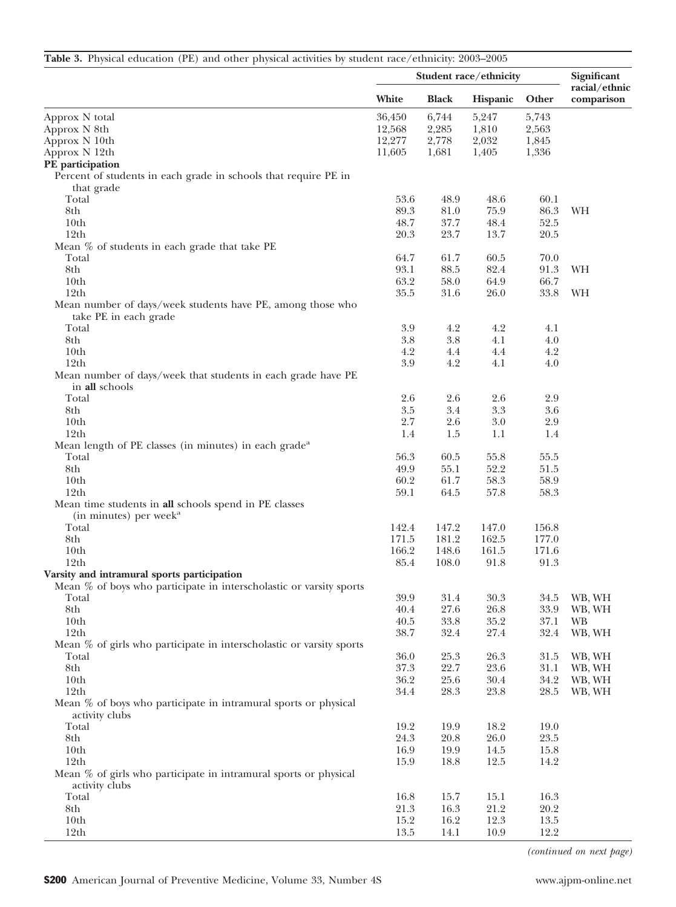<span id="page-5-0"></span>

|                                                                                                                    |        |              | Student race/ethnicity |          | Significant                 |
|--------------------------------------------------------------------------------------------------------------------|--------|--------------|------------------------|----------|-----------------------------|
|                                                                                                                    | White  | <b>Black</b> | Hispanic               | Other    | racial/ethnic<br>comparison |
| Approx N total                                                                                                     | 36,450 | 6,744        | 5,247                  | 5,743    |                             |
| Approx N 8th                                                                                                       | 12,568 | 2,285        | 1,810                  | 2,563    |                             |
| Approx N 10th                                                                                                      | 12,277 | 2,778        | 2,032                  | 1,845    |                             |
| Approx N 12th                                                                                                      | 11,605 | 1,681        | 1,405                  | 1,336    |                             |
| PE participation                                                                                                   |        |              |                        |          |                             |
| Percent of students in each grade in schools that require PE in<br>that grade                                      |        |              |                        |          |                             |
| Total                                                                                                              | 53.6   | 48.9         | 48.6                   | 60.1     |                             |
| 8th                                                                                                                | 89.3   | 81.0         | 75.9                   | 86.3     | WH                          |
| 10 <sub>th</sub>                                                                                                   | 48.7   | 37.7         | 48.4                   | 52.5     |                             |
| 12 <sub>th</sub>                                                                                                   | 20.3   | 23.7         | 13.7                   | 20.5     |                             |
| Mean % of students in each grade that take PE                                                                      |        |              |                        |          |                             |
| Total                                                                                                              | 64.7   | 61.7         | 60.5                   | 70.0     |                             |
| 8th                                                                                                                | 93.1   | 88.5         | 82.4                   | 91.3     | WH                          |
| 10th                                                                                                               | 63.2   | 58.0         | 64.9                   | 66.7     |                             |
| 12th                                                                                                               | 35.5   | 31.6         | 26.0                   | 33.8     | WH                          |
| Mean number of days/week students have PE, among those who<br>take PE in each grade                                |        |              |                        |          |                             |
| Total                                                                                                              | 3.9    | 4.2          | 4.2                    | 4.1      |                             |
| 8th                                                                                                                | 3.8    | 3.8          | 4.1                    | 4.0      |                             |
| 10th                                                                                                               | 4.2    | 4.4          | 4.4                    | 4.2      |                             |
| 12th<br>Mean number of days/week that students in each grade have PE                                               | 3.9    | $4.2\,$      | 4.1                    | 4.0      |                             |
| in all schools                                                                                                     |        |              |                        |          |                             |
| Total                                                                                                              | 2.6    | 2.6          | 2.6                    | 2.9      |                             |
| 8th                                                                                                                | 3.5    | 3.4          | 3.3                    | 3.6      |                             |
| 10 <sub>th</sub>                                                                                                   | 2.7    | $2.6\,$      | 3.0                    | 2.9      |                             |
| 12th                                                                                                               | 1.4    | 1.5          | 1.1                    | 1.4      |                             |
| Mean length of PE classes (in minutes) in each grade <sup>a</sup>                                                  |        |              |                        |          |                             |
| Total                                                                                                              | 56.3   | 60.5         | 55.8                   | 55.5     |                             |
| $8{\rm th}$                                                                                                        | 49.9   | 55.1         | 52.2                   | 51.5     |                             |
| 10 <sub>th</sub>                                                                                                   | 60.2   | 61.7         | 58.3                   | 58.9     |                             |
| 12th                                                                                                               | 59.1   | 64.5         | 57.8                   | 58.3     |                             |
| Mean time students in all schools spend in PE classes<br>(in minutes) per week <sup>a</sup>                        |        |              |                        |          |                             |
| Total                                                                                                              | 142.4  | 147.2        | 147.0                  | 156.8    |                             |
| 8th                                                                                                                | 171.5  | 181.2        | 162.5                  | 177.0    |                             |
| 10 <sub>th</sub>                                                                                                   | 166.2  | 148.6        | 161.5                  | 171.6    |                             |
| 12th                                                                                                               | 85.4   | 108.0        | 91.8                   | 91.3     |                             |
| Varsity and intramural sports participation<br>Mean % of boys who participate in interscholastic or varsity sports |        |              |                        |          |                             |
| Total                                                                                                              | 39.9   | 31.4         | 30.3                   | 34.5     | WB, WH                      |
| 8th                                                                                                                | 40.4   | 27.6         | 26.8                   | 33.9     | WB, WH                      |
| 10 <sub>th</sub>                                                                                                   | 40.5   | 33.8         | 35.2                   | 37.1     | <b>WB</b>                   |
| 12th                                                                                                               | 38.7   | 32.4         | 27.4                   | 32.4     | WB, WH                      |
| Mean % of girls who participate in interscholastic or varsity sports                                               |        |              |                        |          |                             |
| Total                                                                                                              | 36.0   | 25.3         | 26.3                   | 31.5     | WB, WH                      |
| 8th                                                                                                                | 37.3   | 22.7         | 23.6                   | $31.1\,$ | WB, WH                      |
| 10th                                                                                                               | 36.2   | 25.6         | 30.4                   | 34.2     | WB, WH                      |
| 12 <sub>th</sub>                                                                                                   | 34.4   | $28.3\,$     | 23.8                   | 28.5     | WB, WH                      |
| Mean % of boys who participate in intramural sports or physical<br>activity clubs                                  |        |              |                        |          |                             |
| Total                                                                                                              | 19.2   | 19.9         | 18.2                   | 19.0     |                             |
| 8th                                                                                                                | 24.3   | 20.8         | $26.0\,$               | $23.5\,$ |                             |
| 10th                                                                                                               | 16.9   | 19.9         | 14.5                   | 15.8     |                             |
| 12 <sub>th</sub>                                                                                                   | 15.9   | 18.8         | 12.5                   | 14.2     |                             |
| Mean % of girls who participate in intramural sports or physical<br>activity clubs                                 |        |              |                        |          |                             |
| Total                                                                                                              | 16.8   | 15.7         | 15.1                   | 16.3     |                             |
| 8th                                                                                                                | 21.3   | 16.3         | 21.2                   | 20.2     |                             |
| 10th                                                                                                               | 15.2   | 16.2         | 12.3                   | 13.5     |                             |
| 12th                                                                                                               | 13.5   | 14.1         | 10.9                   | 12.2     |                             |

*(continued on next page)*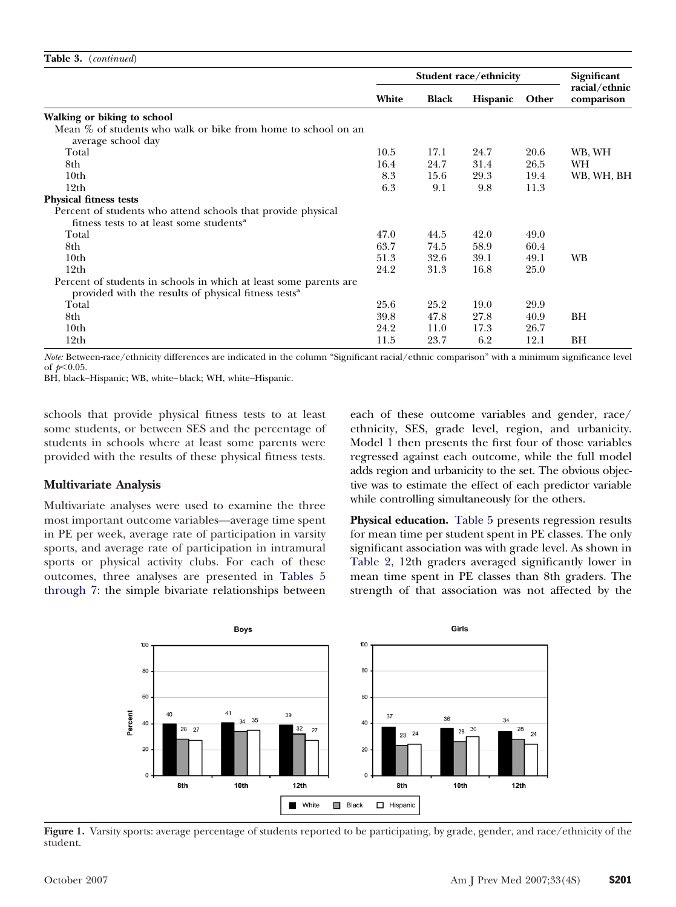<span id="page-6-0"></span>

|                                                                                                                                       | Student race/ethnicity |              |          |       | Significant                 |
|---------------------------------------------------------------------------------------------------------------------------------------|------------------------|--------------|----------|-------|-----------------------------|
|                                                                                                                                       | White                  | <b>Black</b> | Hispanic | Other | racial/ethnic<br>comparison |
| Walking or biking to school                                                                                                           |                        |              |          |       |                             |
| Mean % of students who walk or bike from home to school on an<br>average school day                                                   |                        |              |          |       |                             |
| Total                                                                                                                                 | 10.5                   | 17.1         | 24.7     | 20.6  | WB, WH                      |
| 8th                                                                                                                                   | 16.4                   | 24.7         | 31.4     | 26.5  | WH                          |
| 10 <sub>th</sub>                                                                                                                      | 8.3                    | 15.6         | 29.3     | 19.4  | WB, WH, BH                  |
| 12th                                                                                                                                  | 6.3                    | 9.1          | 9.8      | 11.3  |                             |
| <b>Physical fitness tests</b>                                                                                                         |                        |              |          |       |                             |
| Percent of students who attend schools that provide physical                                                                          |                        |              |          |       |                             |
| fitness tests to at least some students <sup>a</sup>                                                                                  |                        |              |          |       |                             |
| Total                                                                                                                                 | 47.0                   | 44.5         | 42.0     | 49.0  |                             |
| 8th                                                                                                                                   | 63.7                   | 74.5         | 58.9     | 60.4  |                             |
| 10 <sub>th</sub>                                                                                                                      | 51.3                   | 32.6         | 39.1     | 49.1  | WB                          |
| 12th                                                                                                                                  | 24.2                   | 31.3         | 16.8     | 25.0  |                             |
| Percent of students in schools in which at least some parents are<br>provided with the results of physical fitness tests <sup>a</sup> |                        |              |          |       |                             |
| Total                                                                                                                                 | 25.6                   | 25.2         | 19.0     | 29.9  |                             |
| 8th                                                                                                                                   | 39.8                   | 47.8         | 27.8     | 40.9  | BH                          |
| 10 <sub>th</sub>                                                                                                                      | 24.2                   | 11.0         | 17.3     | 26.7  |                             |
| 12th                                                                                                                                  | 11.5                   | 23.7         | 6.2      | 12.1  | <b>BH</b>                   |

*Note:* Between-race/ethnicity differences are indicated in the column "Significant racial/ethnic comparison" with a minimum significance level of  $p<0.05$ .

BH, black–Hispanic; WB, white–black; WH, white–Hispanic.

schools that provide physical fitness tests to at least some students, or between SES and the percentage of students in schools where at least some parents were provided with the results of these physical fitness tests.

# **Multivariate Analysis**

Multivariate analyses were used to examine the three most important outcome variables—average time spent in PE per week, average rate of participation in varsity sports, and average rate of participation in intramural sports or physical activity clubs. For each of these outcomes, three analyses are presented in [Tables 5](#page-9-0) through [7:](#page-10-0) the simple bivariate relationships between each of these outcome variables and gender, race/ ethnicity, SES, grade level, region, and urbanicity. Model 1 then presents the first four of those variables regressed against each outcome, while the full model adds region and urbanicity to the set. The obvious objective was to estimate the effect of each predictor variable while controlling simultaneously for the others.

**Physical education.** [Table 5](#page-9-0) presents regression results for mean time per student spent in PE classes. The only significant association was with grade level. As shown in [Table 2,](#page-3-0) 12th graders averaged significantly lower in mean time spent in PE classes than 8th graders. The strength of that association was not affected by the



**Figure 1.** Varsity sports: average percentage of students reported to be participating, by grade, gender, and race/ethnicity of the student.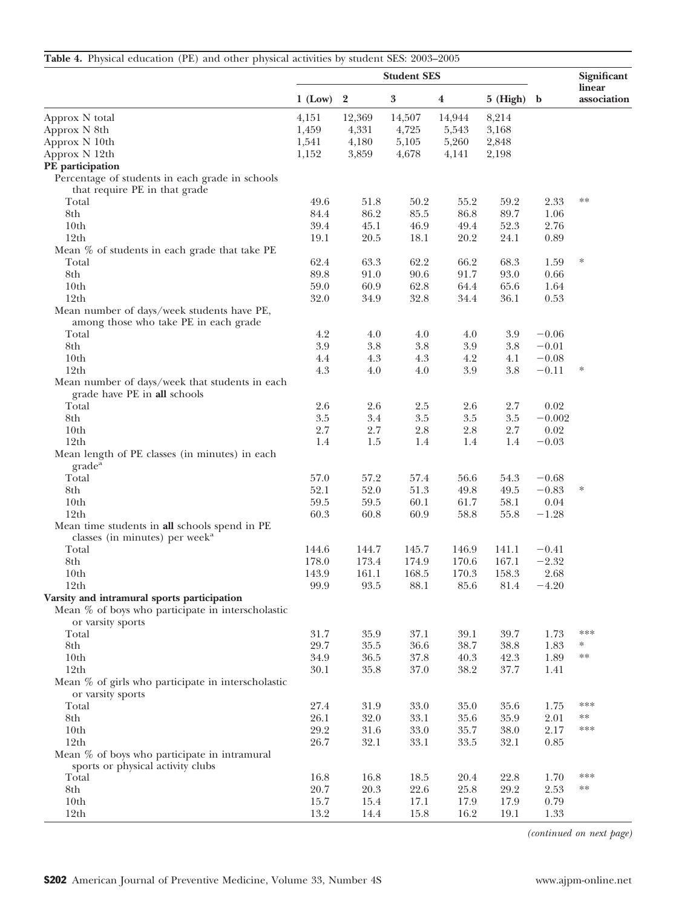<span id="page-7-0"></span>

|                                                                                                                       |           |          | <b>Student SES</b> |                         |              |          | Significant<br>linear |
|-----------------------------------------------------------------------------------------------------------------------|-----------|----------|--------------------|-------------------------|--------------|----------|-----------------------|
|                                                                                                                       | 1 (Low) 2 |          | $\boldsymbol{3}$   | $\overline{\mathbf{4}}$ | $5$ (High) b |          | association           |
| Approx N total                                                                                                        | 4,151     | 12,369   | 14,507             | 14,944                  | 8,214        |          |                       |
| Approx N 8th                                                                                                          | 1,459     | 4,331    | 4,725              | 5,543                   | 3,168        |          |                       |
| Approx N 10th                                                                                                         | 1,541     | 4,180    | 5,105              | 5,260                   | 2,848        |          |                       |
| Approx N 12th                                                                                                         | 1,152     | 3,859    | 4,678              | 4,141                   | 2,198        |          |                       |
| PE participation                                                                                                      |           |          |                    |                         |              |          |                       |
| Percentage of students in each grade in schools                                                                       |           |          |                    |                         |              |          |                       |
| that require PE in that grade                                                                                         |           |          |                    |                         |              |          |                       |
| Total                                                                                                                 | 49.6      | 51.8     | 50.2               | 55.2                    | 59.2         | 2.33     | $**$                  |
| 8th                                                                                                                   | 84.4      | 86.2     | 85.5               | 86.8                    | 89.7         | 1.06     |                       |
| 10th                                                                                                                  | 39.4      | 45.1     | 46.9               | 49.4                    | 52.3         | 2.76     |                       |
| 12 <sub>th</sub>                                                                                                      | 19.1      | 20.5     | 18.1               | 20.2                    | 24.1         | 0.89     |                       |
|                                                                                                                       |           |          |                    |                         |              |          |                       |
| Mean % of students in each grade that take PE                                                                         |           |          |                    |                         |              |          | ∗                     |
| Total                                                                                                                 | 62.4      | 63.3     | 62.2               | 66.2                    | 68.3         | 1.59     |                       |
| 8th                                                                                                                   | 89.8      | 91.0     | 90.6               | 91.7                    | 93.0         | 0.66     |                       |
| 10th                                                                                                                  | 59.0      | 60.9     | 62.8               | 64.4                    | 65.6         | 1.64     |                       |
| 12th                                                                                                                  | 32.0      | 34.9     | 32.8               | 34.4                    | 36.1         | 0.53     |                       |
| Mean number of days/week students have PE,                                                                            |           |          |                    |                         |              |          |                       |
| among those who take PE in each grade                                                                                 |           |          |                    |                         |              |          |                       |
| Total                                                                                                                 | 4.2       | 4.0      | 4.0                | 4.0                     | 3.9          | $-0.06$  |                       |
| 8th                                                                                                                   | 3.9       | 3.8      | 3.8                | 3.9                     | 3.8          | $-0.01$  |                       |
| 10 <sub>th</sub>                                                                                                      | 4.4       | 4.3      | 4.3                | 4.2                     | 4.1          | $-0.08$  |                       |
| 12th                                                                                                                  | 4.3       | 4.0      | 4.0                | 3.9                     | 3.8          | $-0.11$  | ∗                     |
| Mean number of days/week that students in each<br>grade have PE in all schools                                        |           |          |                    |                         |              |          |                       |
| Total                                                                                                                 | 2.6       | 2.6      | 2.5                | 2.6                     | 2.7          | 0.02     |                       |
| 8th                                                                                                                   | 3.5       | 3.4      | 3.5                | 3.5                     | 3.5          | $-0.002$ |                       |
| 10th                                                                                                                  | 2.7       | 2.7      | 2.8                | 2.8                     | 2.7          | 0.02     |                       |
| 12th                                                                                                                  | 1.4       | 1.5      | 1.4                | 1.4                     | 1.4          | $-0.03$  |                       |
| Mean length of PE classes (in minutes) in each<br>$grade^{\tilde{a}}$                                                 |           |          |                    |                         |              |          |                       |
| Total                                                                                                                 | 57.0      | 57.2     | 57.4               | 56.6                    | 54.3         | $-0.68$  |                       |
| 8th                                                                                                                   | 52.1      | 52.0     | 51.3               | 49.8                    | 49.5         | $-0.83$  | ∗                     |
|                                                                                                                       |           |          |                    |                         |              |          |                       |
| 10 <sub>th</sub>                                                                                                      | 59.5      | 59.5     | 60.1               | 61.7                    | 58.1         | 0.04     |                       |
| 12 <sub>th</sub>                                                                                                      | 60.3      | 60.8     | 60.9               | 58.8                    | 55.8         | $-1.28$  |                       |
| Mean time students in all schools spend in PE<br>classes (in minutes) per week <sup>a</sup>                           |           |          |                    |                         |              |          |                       |
| Total                                                                                                                 | 144.6     | 144.7    | 145.7              | 146.9                   | 141.1        | $-0.41$  |                       |
| 8th                                                                                                                   | 178.0     | 173.4    | 174.9              | 170.6                   | 167.1        | $-2.32$  |                       |
| 10 <sub>th</sub>                                                                                                      | 143.9     | 161.1    | 168.5              | 170.3                   | 158.3        | 2.68     |                       |
| 12th                                                                                                                  | 99.9      | 93.5     | 88.1               | 85.6                    | 81.4         | $-4.20$  |                       |
| Varsity and intramural sports participation<br>Mean % of boys who participate in interscholastic<br>or varsity sports |           |          |                    |                         |              |          |                       |
| Total                                                                                                                 | 31.7      | 35.9     | 37.1               | 39.1                    | 39.7         | 1.73     | ***                   |
| 8th                                                                                                                   | 29.7      | $35.5\,$ | 36.6               | 38.7                    | 38.8         | 1.83     | $\ast$                |
|                                                                                                                       |           |          |                    |                         |              |          | $***$                 |
| 10th                                                                                                                  | 34.9      | 36.5     | 37.8               | 40.3                    | 42.3         | 1.89     |                       |
| 12th                                                                                                                  | 30.1      | 35.8     | 37.0               | 38.2                    | 37.7         | 1.41     |                       |
| Mean % of girls who participate in interscholastic<br>or varsity sports                                               |           |          |                    |                         |              |          |                       |
| Total                                                                                                                 | 27.4      | 31.9     | 33.0               | 35.0                    | 35.6         | 1.75     | ***                   |
| 8th                                                                                                                   | 26.1      | 32.0     | 33.1               | 35.6                    | 35.9         | 2.01     | **                    |
| 10th                                                                                                                  | $29.2\,$  | $31.6\,$ | $33.0\,$           | 35.7                    | 38.0         | 2.17     | ***                   |
| 12th                                                                                                                  | 26.7      | 32.1     | 33.1               | $33.5\,$                | 32.1         | 0.85     |                       |
| Mean % of boys who participate in intramural<br>sports or physical activity clubs                                     |           |          |                    |                         |              |          |                       |
| Total                                                                                                                 | 16.8      | 16.8     | 18.5               | 20.4                    | 22.8         | 1.70     | ***                   |
| 8th                                                                                                                   | 20.7      | 20.3     | 22.6               | 25.8                    | 29.2         | 2.53     | **                    |
| 10 <sub>th</sub>                                                                                                      | 15.7      | 15.4     | 17.1               | 17.9                    | 17.9         | 0.79     |                       |
| 12th                                                                                                                  | 13.2      | 14.4     | 15.8               | 16.2                    | 19.1         | 1.33     |                       |

*(continued on next page)*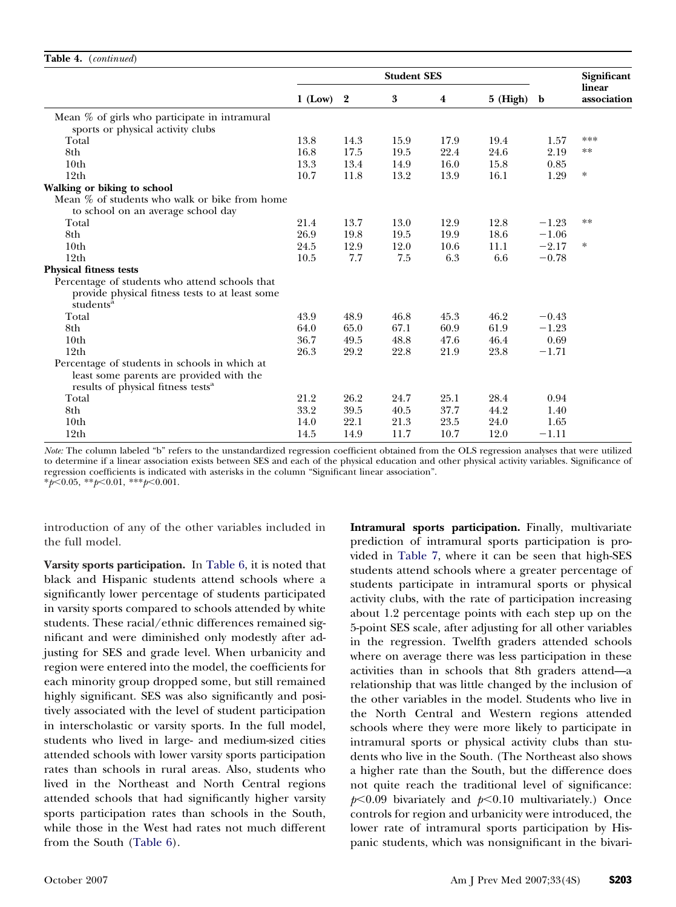#### **Table 4.** (*continued*)

|                                                                                            | <b>Student SES</b> |      |      |          |              |         | Significant           |
|--------------------------------------------------------------------------------------------|--------------------|------|------|----------|--------------|---------|-----------------------|
|                                                                                            | 1 (Low) 2          |      | 3    | $\bf{4}$ | $5$ (High) b |         | linear<br>association |
| Mean % of girls who participate in intramural                                              |                    |      |      |          |              |         |                       |
| sports or physical activity clubs                                                          |                    |      |      |          |              |         |                       |
| Total                                                                                      | 13.8               | 14.3 | 15.9 | 17.9     | 19.4         | 1.57    | ***                   |
| 8th                                                                                        | 16.8               | 17.5 | 19.5 | 22.4     | 24.6         | 2.19    | $***$                 |
| 10 <sub>th</sub>                                                                           | 13.3               | 13.4 | 14.9 | 16.0     | 15.8         | 0.85    |                       |
| 12 <sub>th</sub>                                                                           | 10.7               | 11.8 | 13.2 | 13.9     | 16.1         | 1.29    | $\ast$                |
| Walking or biking to school                                                                |                    |      |      |          |              |         |                       |
| Mean % of students who walk or bike from home                                              |                    |      |      |          |              |         |                       |
| to school on an average school day                                                         |                    |      |      |          |              |         |                       |
| Total                                                                                      | 21.4               | 13.7 | 13.0 | 12.9     | 12.8         | $-1.23$ | $***$                 |
| 8th                                                                                        | 26.9               | 19.8 | 19.5 | 19.9     | 18.6         | $-1.06$ |                       |
| 10 <sub>th</sub>                                                                           | 24.5               | 12.9 | 12.0 | 10.6     | 11.1         | $-2.17$ | $\ast$                |
| 12 <sub>th</sub>                                                                           | 10.5               | 7.7  | 7.5  | 6.3      | 6.6          | $-0.78$ |                       |
| <b>Physical fitness tests</b>                                                              |                    |      |      |          |              |         |                       |
| Percentage of students who attend schools that                                             |                    |      |      |          |              |         |                       |
| provide physical fitness tests to at least some<br>students <sup>a</sup>                   |                    |      |      |          |              |         |                       |
| Total                                                                                      | 43.9               | 48.9 | 46.8 | 45.3     | 46.2         | $-0.43$ |                       |
| 8th                                                                                        | 64.0               | 65.0 | 67.1 | 60.9     | 61.9         | $-1.23$ |                       |
| 10 <sub>th</sub>                                                                           | 36.7               | 49.5 | 48.8 | 47.6     | 46.4         | 0.69    |                       |
| 12 <sub>th</sub>                                                                           | 26.3               | 29.2 | 22.8 | 21.9     | 23.8         | $-1.71$ |                       |
| Percentage of students in schools in which at                                              |                    |      |      |          |              |         |                       |
| least some parents are provided with the<br>results of physical fitness tests <sup>a</sup> |                    |      |      |          |              |         |                       |
| Total                                                                                      | 21.2               | 26.2 | 24.7 | 25.1     | 28.4         | 0.94    |                       |
| 8th                                                                                        | 33.2               | 39.5 | 40.5 | 37.7     | 44.2         | 1.40    |                       |
| 10 <sub>th</sub>                                                                           | 14.0               | 22.1 | 21.3 | 23.5     | 24.0         | 1.65    |                       |
| 12 <sub>th</sub>                                                                           | 14.5               | 14.9 | 11.7 | 10.7     | 12.0         | $-1.11$ |                       |

*Note:* The column labeled "b" refers to the unstandardized regression coefficient obtained from the OLS regression analyses that were utilized to determine if a linear association exists between SES and each of the physical education and other physical activity variables. Significance of regression coefficients is indicated with asterisks in the column "Significant linear association". \**p*<0.05, \*\**p*<0.01, \*\*\**p*<0.001.

introduction of any of the other variables included in the full model.

**Varsity sports participation.** In [Table 6,](#page-9-0) it is noted that black and Hispanic students attend schools where a significantly lower percentage of students participated in varsity sports compared to schools attended by white students. These racial/ethnic differences remained significant and were diminished only modestly after adjusting for SES and grade level. When urbanicity and region were entered into the model, the coefficients for each minority group dropped some, but still remained highly significant. SES was also significantly and positively associated with the level of student participation in interscholastic or varsity sports. In the full model, students who lived in large- and medium-sized cities attended schools with lower varsity sports participation rates than schools in rural areas. Also, students who lived in the Northeast and North Central regions attended schools that had significantly higher varsity sports participation rates than schools in the South, while those in the West had rates not much different from the South [\(Table 6\)](#page-9-0).

**Intramural sports participation.** Finally, multivariate prediction of intramural sports participation is provided in [Table 7,](#page-10-0) where it can be seen that high-SES students attend schools where a greater percentage of students participate in intramural sports or physical activity clubs, with the rate of participation increasing about 1.2 percentage points with each step up on the 5-point SES scale, after adjusting for all other variables in the regression. Twelfth graders attended schools where on average there was less participation in these activities than in schools that 8th graders attend—a relationship that was little changed by the inclusion of the other variables in the model. Students who live in the North Central and Western regions attended schools where they were more likely to participate in intramural sports or physical activity clubs than students who live in the South. (The Northeast also shows a higher rate than the South, but the difference does not quite reach the traditional level of significance:  $p<0.09$  bivariately and  $p<0.10$  multivariately.) Once controls for region and urbanicity were introduced, the lower rate of intramural sports participation by Hispanic students, which was nonsignificant in the bivari-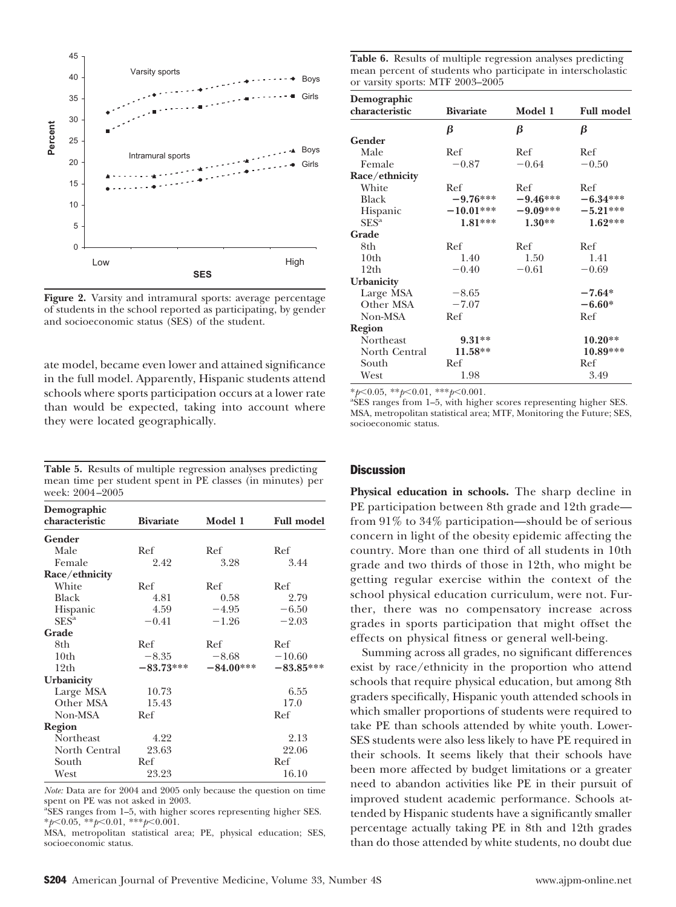<span id="page-9-0"></span>

**Figure 2.** Varsity and intramural sports: average percentage of students in the school reported as participating, by gender and socioeconomic status (SES) of the student.

ate model, became even lower and attained significance in the full model. Apparently, Hispanic students attend schools where sports participation occurs at a lower rate than would be expected, taking into account where they were located geographically.

**Table 5.** Results of multiple regression analyses predicting mean time per student spent in PE classes (in minutes) per week: 2004–2005

| Demographic<br>characteristic | <b>Bivariate</b> |             |                   |
|-------------------------------|------------------|-------------|-------------------|
|                               |                  | Model 1     | <b>Full model</b> |
| Gender                        |                  |             |                   |
| Male                          | Ref              | Ref         | Ref               |
| Female                        | 2.42             | 3.28        | 3.44              |
| Race/ethnicity                |                  |             |                   |
| White                         | Ref              | Ref         | Ref               |
| <b>Black</b>                  | 4.81             | 0.58        | 2.79              |
| Hispanic                      | 4.59             | $-4.95$     | $-6.50$           |
| SES <sup>a</sup>              | $-0.41$          | $-1.26$     | $-2.03$           |
| Grade                         |                  |             |                   |
| 8th                           | Ref              | Ref         | Ref               |
| 10th                          | $-8.35$          | $-8.68$     | $-10.60$          |
| 12 <sub>th</sub>              | $-83.73***$      | $-84.00***$ | $-83.85***$       |
| Urbanicity                    |                  |             |                   |
| Large MSA                     | 10.73            |             | 6.55              |
| Other MSA                     | 15.43            |             | 17.0              |
| Non-MSA                       | Ref              |             | Ref               |
| Region                        |                  |             |                   |
| Northeast                     | 4.22             |             | 2.13              |
| North Central                 | 23.63            |             | 22.06             |
| South                         | Ref              |             | Ref               |
| West                          | 23.23            |             | 16.10             |
|                               |                  |             |                   |

*Note:* Data are for 2004 and 2005 only because the question on time spent on PE was not asked in 2003.

a SES ranges from 1–5, with higher scores representing higher SES.  $*_{p<0.05}$ ,  $*_{p<0.01}$ ,  $*_{p<0.001}$ .

MSA, metropolitan statistical area; PE, physical education; SES, socioeconomic status.

**Table 6.** Results of multiple regression analyses predicting mean percent of students who participate in interscholastic or varsity sports: MTF 2003–2005

| Demographic<br>characteristic | <b>Bivariate</b> | Model 1    | <b>Full model</b> |
|-------------------------------|------------------|------------|-------------------|
|                               | β                | β          | β                 |
| Gender                        |                  |            |                   |
| Male                          | Ref              | Ref        | Ref               |
| Female                        | $-0.87$          | $-0.64$    | $-0.50$           |
| Race/ethnicity                |                  |            |                   |
| White                         | Ref              | Ref        | Ref               |
| <b>Black</b>                  | $-9.76***$       | $-9.46***$ | $-6.34***$        |
| Hispanic                      | $-10.01***$      | $-9.09***$ | $-5.21***$        |
| SES <sup>a</sup>              | $1.81***$        | $1.30**$   | $1.62***$         |
| Grade                         |                  |            |                   |
| 8th                           | Ref              | Ref        | Ref               |
| 10 <sub>th</sub>              | 1.40             | 1.50       | 1.41              |
| 12th                          | $-0.40$          | $-0.61$    | $-0.69$           |
| Urbanicity                    |                  |            |                   |
| Large MSA                     | $-8.65$          |            | $-7.64*$          |
| Other MSA                     | $-7.07$          |            | $-6.60*$          |
| Non-MSA                       | Ref              |            | Ref               |
| Region                        |                  |            |                   |
| Northeast                     | $9.31**$         |            | $10.20**$         |
| North Central                 | $11.58**$        |            | 10.89***          |
| South                         | Ref              |            | Ref               |
| West                          | 1.98             |            | 3.49              |

 $*_{p<0.05}$ ,  $*_{p<0.01}$ ,  $*_{p<0.001}$ .

SES ranges from 1–5, with higher scores representing higher SES. MSA, metropolitan statistical area; MTF, Monitoring the Future; SES, socioeconomic status.

#### **Discussion**

**Physical education in schools.** The sharp decline in PE participation between 8th grade and 12th grade from 91% to 34% participation—should be of serious concern in light of the obesity epidemic affecting the country. More than one third of all students in 10th grade and two thirds of those in 12th, who might be getting regular exercise within the context of the school physical education curriculum, were not. Further, there was no compensatory increase across grades in sports participation that might offset the effects on physical fitness or general well-being.

Summing across all grades, no significant differences exist by race/ethnicity in the proportion who attend schools that require physical education, but among 8th graders specifically, Hispanic youth attended schools in which smaller proportions of students were required to take PE than schools attended by white youth. Lower-SES students were also less likely to have PE required in their schools. It seems likely that their schools have been more affected by budget limitations or a greater need to abandon activities like PE in their pursuit of improved student academic performance. Schools attended by Hispanic students have a significantly smaller percentage actually taking PE in 8th and 12th grades than do those attended by white students, no doubt due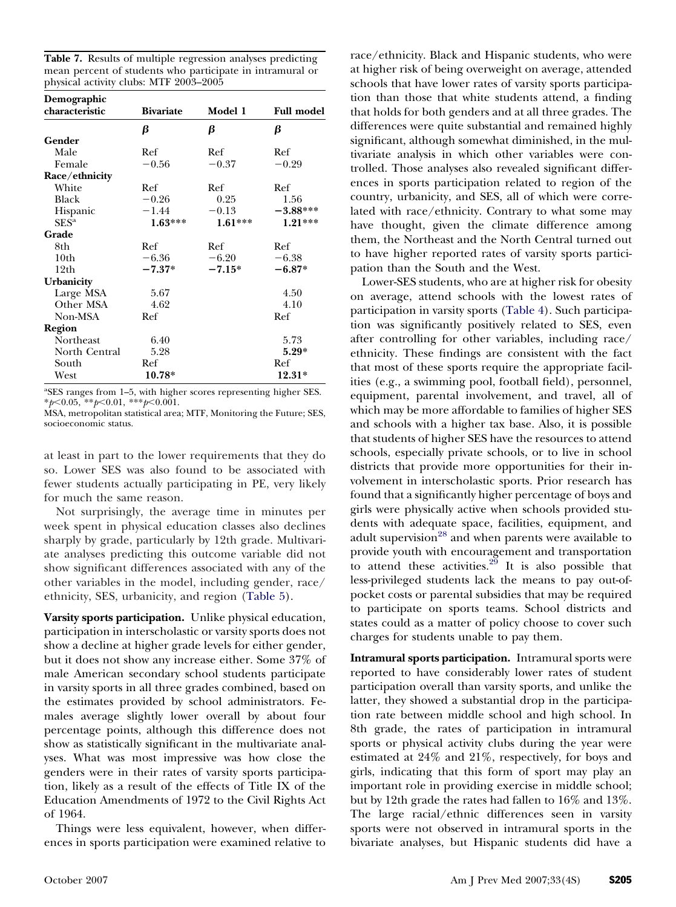<span id="page-10-0"></span>**Table 7.** Results of multiple regression analyses predicting mean percent of students who participate in intramural or physical activity clubs: MTF 2003–2005

| Demographic<br>characteristic | <b>Bivariate</b> | Model 1   | <b>Full model</b> |
|-------------------------------|------------------|-----------|-------------------|
|                               | β                | β         | β                 |
| Gender                        |                  |           |                   |
| Male                          | Ref              | Ref       | Ref               |
| Female                        | $-0.56$          | $-0.37$   | $-0.29$           |
| Race/ethnicity                |                  |           |                   |
| White                         | Ref              | Ref       | Ref               |
| Black                         | $-0.26$          | 0.25      | 1.56              |
| Hispanic                      | $-1.44$          | $-0.13$   | $-3.88***$        |
| SES <sup>a</sup>              | $1.63***$        | $1.61***$ | $1.21***$         |
| Grade                         |                  |           |                   |
| 8th                           | Ref              | Ref       | Ref               |
| 10 <sub>th</sub>              | $-6.36$          | $-6.20$   | $-6.38$           |
| 12 <sub>th</sub>              | $-7.37*$         | $-7.15*$  | $-6.87*$          |
| Urbanicity                    |                  |           |                   |
| Large MSA                     | 5.67             |           | 4.50              |
| Other MSA                     | 4.62             |           | 4.10              |
| Non-MSA                       | Ref              |           | Ref               |
| <b>Region</b>                 |                  |           |                   |
| Northeast                     | 6.40             |           | 5.73              |
| North Central                 | 5.28             |           | $5.29*$           |
| South                         | Ref              |           | Ref               |
| West                          | $10.78*$         |           | $12.31*$          |

a SES ranges from 1–5, with higher scores representing higher SES. \**p*0.05, \*\**p*0.01, \*\*\**p*0.001.

MSA, metropolitan statistical area; MTF, Monitoring the Future; SES, socioeconomic status.

at least in part to the lower requirements that they do so. Lower SES was also found to be associated with fewer students actually participating in PE, very likely for much the same reason.

Not surprisingly, the average time in minutes per week spent in physical education classes also declines sharply by grade, particularly by 12th grade. Multivariate analyses predicting this outcome variable did not show significant differences associated with any of the other variables in the model, including gender, race/ ethnicity, SES, urbanicity, and region [\(Table 5\)](#page-9-0).

**Varsity sports participation.** Unlike physical education, participation in interscholastic or varsity sports does not show a decline at higher grade levels for either gender, but it does not show any increase either. Some 37% of male American secondary school students participate in varsity sports in all three grades combined, based on the estimates provided by school administrators. Females average slightly lower overall by about four percentage points, although this difference does not show as statistically significant in the multivariate analyses. What was most impressive was how close the genders were in their rates of varsity sports participation, likely as a result of the effects of Title IX of the Education Amendments of 1972 to the Civil Rights Act of 1964.

Things were less equivalent, however, when differences in sports participation were examined relative to

race/ethnicity. Black and Hispanic students, who were at higher risk of being overweight on average, attended schools that have lower rates of varsity sports participation than those that white students attend, a finding that holds for both genders and at all three grades. The differences were quite substantial and remained highly significant, although somewhat diminished, in the multivariate analysis in which other variables were controlled. Those analyses also revealed significant differences in sports participation related to region of the country, urbanicity, and SES, all of which were correlated with race/ethnicity. Contrary to what some may have thought, given the climate difference among them, the Northeast and the North Central turned out to have higher reported rates of varsity sports participation than the South and the West.

Lower-SES students, who are at higher risk for obesity on average, attend schools with the lowest rates of participation in varsity sports [\(Table 4\)](#page-7-0). Such participation was significantly positively related to SES, even after controlling for other variables, including race/ ethnicity. These findings are consistent with the fact that most of these sports require the appropriate facilities (e.g., a swimming pool, football field), personnel, equipment, parental involvement, and travel, all of which may be more affordable to families of higher SES and schools with a higher tax base. Also, it is possible that students of higher SES have the resources to attend schools, especially private schools, or to live in school districts that provide more opportunities for their involvement in interscholastic sports. Prior research has found that a significantly higher percentage of boys and girls were physically active when schools provided students with adequate space, facilities, equipment, and adult supervision<sup>[28](#page-13-0)</sup> and when parents were available to provide youth with encouragement and transportation to attend these activities. $29$  It is also possible that less-privileged students lack the means to pay out-ofpocket costs or parental subsidies that may be required to participate on sports teams. School districts and states could as a matter of policy choose to cover such charges for students unable to pay them.

**Intramural sports participation.** Intramural sports were reported to have considerably lower rates of student participation overall than varsity sports, and unlike the latter, they showed a substantial drop in the participation rate between middle school and high school. In 8th grade, the rates of participation in intramural sports or physical activity clubs during the year were estimated at 24% and 21%, respectively, for boys and girls, indicating that this form of sport may play an important role in providing exercise in middle school; but by 12th grade the rates had fallen to 16% and 13%. The large racial/ethnic differences seen in varsity sports were not observed in intramural sports in the bivariate analyses, but Hispanic students did have a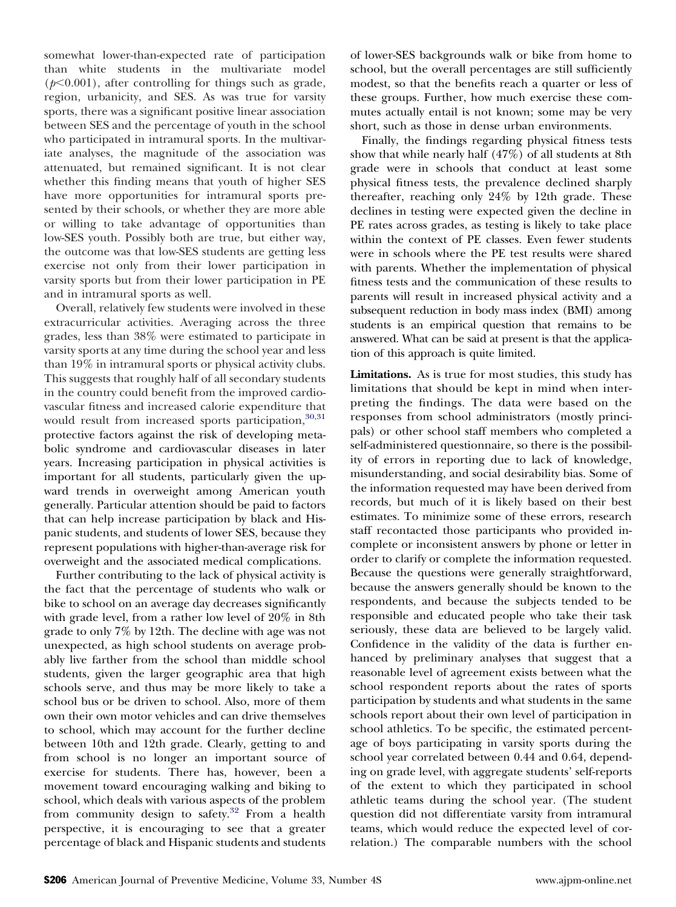somewhat lower-than-expected rate of participation than white students in the multivariate model  $(p<0.001)$ , after controlling for things such as grade, region, urbanicity, and SES. As was true for varsity sports, there was a significant positive linear association between SES and the percentage of youth in the school who participated in intramural sports. In the multivariate analyses, the magnitude of the association was attenuated, but remained significant. It is not clear whether this finding means that youth of higher SES have more opportunities for intramural sports presented by their schools, or whether they are more able or willing to take advantage of opportunities than low-SES youth. Possibly both are true, but either way, the outcome was that low-SES students are getting less exercise not only from their lower participation in varsity sports but from their lower participation in PE and in intramural sports as well.

Overall, relatively few students were involved in these extracurricular activities. Averaging across the three grades, less than 38% were estimated to participate in varsity sports at any time during the school year and less than 19% in intramural sports or physical activity clubs. This suggests that roughly half of all secondary students in the country could benefit from the improved cardiovascular fitness and increased calorie expenditure that would result from increased sports participation,  $30,31$ protective factors against the risk of developing metabolic syndrome and cardiovascular diseases in later years. Increasing participation in physical activities is important for all students, particularly given the upward trends in overweight among American youth generally. Particular attention should be paid to factors that can help increase participation by black and Hispanic students, and students of lower SES, because they represent populations with higher-than-average risk for overweight and the associated medical complications.

Further contributing to the lack of physical activity is the fact that the percentage of students who walk or bike to school on an average day decreases significantly with grade level, from a rather low level of 20% in 8th grade to only 7% by 12th. The decline with age was not unexpected, as high school students on average probably live farther from the school than middle school students, given the larger geographic area that high schools serve, and thus may be more likely to take a school bus or be driven to school. Also, more of them own their own motor vehicles and can drive themselves to school, which may account for the further decline between 10th and 12th grade. Clearly, getting to and from school is no longer an important source of exercise for students. There has, however, been a movement toward encouraging walking and biking to school, which deals with various aspects of the problem from community design to safety.<sup>[32](#page-13-0)</sup> From a health perspective, it is encouraging to see that a greater percentage of black and Hispanic students and students

of lower-SES backgrounds walk or bike from home to school, but the overall percentages are still sufficiently modest, so that the benefits reach a quarter or less of these groups. Further, how much exercise these commutes actually entail is not known; some may be very short, such as those in dense urban environments.

Finally, the findings regarding physical fitness tests show that while nearly half (47%) of all students at 8th grade were in schools that conduct at least some physical fitness tests, the prevalence declined sharply thereafter, reaching only 24% by 12th grade. These declines in testing were expected given the decline in PE rates across grades, as testing is likely to take place within the context of PE classes. Even fewer students were in schools where the PE test results were shared with parents. Whether the implementation of physical fitness tests and the communication of these results to parents will result in increased physical activity and a subsequent reduction in body mass index (BMI) among students is an empirical question that remains to be answered. What can be said at present is that the application of this approach is quite limited.

**Limitations.** As is true for most studies, this study has limitations that should be kept in mind when interpreting the findings. The data were based on the responses from school administrators (mostly principals) or other school staff members who completed a self-administered questionnaire, so there is the possibility of errors in reporting due to lack of knowledge, misunderstanding, and social desirability bias. Some of the information requested may have been derived from records, but much of it is likely based on their best estimates. To minimize some of these errors, research staff recontacted those participants who provided incomplete or inconsistent answers by phone or letter in order to clarify or complete the information requested. Because the questions were generally straightforward, because the answers generally should be known to the respondents, and because the subjects tended to be responsible and educated people who take their task seriously, these data are believed to be largely valid. Confidence in the validity of the data is further enhanced by preliminary analyses that suggest that a reasonable level of agreement exists between what the school respondent reports about the rates of sports participation by students and what students in the same schools report about their own level of participation in school athletics. To be specific, the estimated percentage of boys participating in varsity sports during the school year correlated between 0.44 and 0.64, depending on grade level, with aggregate students' self-reports of the extent to which they participated in school athletic teams during the school year. (The student question did not differentiate varsity from intramural teams, which would reduce the expected level of correlation.) The comparable numbers with the school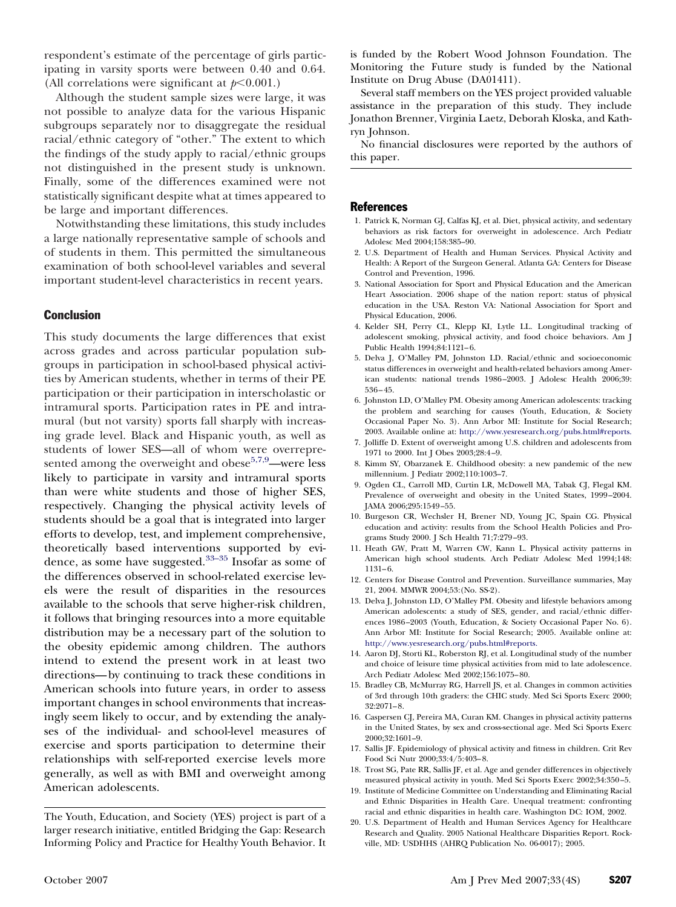<span id="page-12-0"></span>respondent's estimate of the percentage of girls participating in varsity sports were between 0.40 and 0.64. (All correlations were significant at  $p<0.001$ .)

Although the student sample sizes were large, it was not possible to analyze data for the various Hispanic subgroups separately nor to disaggregate the residual racial/ethnic category of "other." The extent to which the findings of the study apply to racial/ethnic groups not distinguished in the present study is unknown. Finally, some of the differences examined were not statistically significant despite what at times appeared to be large and important differences.

Notwithstanding these limitations, this study includes a large nationally representative sample of schools and of students in them. This permitted the simultaneous examination of both school-level variables and several important student-level characteristics in recent years.

## Conclusion

This study documents the large differences that exist across grades and across particular population subgroups in participation in school-based physical activities by American students, whether in terms of their PE participation or their participation in interscholastic or intramural sports. Participation rates in PE and intramural (but not varsity) sports fall sharply with increasing grade level. Black and Hispanic youth, as well as students of lower SES—all of whom were overrepresented among the overweight and obese $5,7,9$ —were less likely to participate in varsity and intramural sports than were white students and those of higher SES, respectively. Changing the physical activity levels of students should be a goal that is integrated into larger efforts to develop, test, and implement comprehensive, theoretically based interventions supported by evi-dence, as some have suggested.<sup>[33–35](#page-13-0)</sup> Insofar as some of the differences observed in school-related exercise levels were the result of disparities in the resources available to the schools that serve higher-risk children, it follows that bringing resources into a more equitable distribution may be a necessary part of the solution to the obesity epidemic among children. The authors intend to extend the present work in at least two directions—by continuing to track these conditions in American schools into future years, in order to assess important changes in school environments that increasingly seem likely to occur, and by extending the analyses of the individual- and school-level measures of exercise and sports participation to determine their relationships with self-reported exercise levels more generally, as well as with BMI and overweight among American adolescents.

is funded by the Robert Wood Johnson Foundation. The Monitoring the Future study is funded by the National Institute on Drug Abuse (DA01411).

Several staff members on the YES project provided valuable assistance in the preparation of this study. They include Jonathon Brenner, Virginia Laetz, Deborah Kloska, and Kathryn Johnson.

No financial disclosures were reported by the authors of this paper.

## **References**

- 1. Patrick K, Norman GJ, Calfas KJ, et al. Diet, physical activity, and sedentary behaviors as risk factors for overweight in adolescence. Arch Pediatr Adolesc Med 2004;158:385–90.
- 2. U.S. Department of Health and Human Services. Physical Activity and Health: A Report of the Surgeon General. Atlanta GA: Centers for Disease Control and Prevention, 1996.
- 3. National Association for Sport and Physical Education and the American Heart Association. 2006 shape of the nation report: status of physical education in the USA. Reston VA: National Association for Sport and Physical Education, 2006.
- 4. Kelder SH, Perry CL, Klepp KI, Lytle LL. Longitudinal tracking of adolescent smoking, physical activity, and food choice behaviors. Am J Public Health 1994;84:1121–6.
- 5. Delva J, O'Malley PM, Johnston LD. Racial/ethnic and socioeconomic status differences in overweight and health-related behaviors among American students: national trends 1986–2003. J Adolesc Health 2006;39: 536–45.
- 6. Johnston LD, O'Malley PM. Obesity among American adolescents: tracking the problem and searching for causes (Youth, Education, & Society Occasional Paper No. 3). Ann Arbor MI: Institute for Social Research; 2003. Available online at: [http://www.yesresearch.org/pubs.html#reports.](http://www.yesresearch.org/pubs.html%23reports)
- 7. Jolliffe D. Extent of overweight among U.S. children and adolescents from 1971 to 2000. Int J Obes 2003;28:4–9.
- 8. Kimm SY, Obarzanek E. Childhood obesity: a new pandemic of the new millennium. J Pediatr 2002;110:1003–7.
- 9. Ogden CL, Carroll MD, Curtin LR, McDowell MA, Tabak CJ, Flegal KM. Prevalence of overweight and obesity in the United States, 1999–2004. JAMA 2006;295:1549–55.
- 10. Burgeson CR, Wechsler H, Brener ND, Young JC, Spain CG. Physical education and activity: results from the School Health Policies and Programs Study 2000. J Sch Health 71;7:279–93.
- 11. Heath GW, Pratt M, Warren CW, Kann L. Physical activity patterns in American high school students. Arch Pediatr Adolesc Med 1994;148: 1131–6.
- 12. Centers for Disease Control and Prevention. Surveillance summaries, May 21, 2004. MMWR 2004;53:(No. SS-2).
- 13. Delva J, Johnston LD, O'Malley PM. Obesity and lifestyle behaviors among American adolescents: a study of SES, gender, and racial/ethnic differences 1986–2003 (Youth, Education, & Society Occasional Paper No. 6). Ann Arbor MI: Institute for Social Research; 2005. Available online at: [http://www.yesresearch.org/pubs.html#reports.](http://www.yesresearch.org/pubs.html%23reports)
- 14. Aaron DJ, Storti KL, Roberston RJ, et al. Longitudinal study of the number and choice of leisure time physical activities from mid to late adolescence. Arch Pediatr Adolesc Med 2002;156:1075–80.
- 15. Bradley CB, McMurray RG, Harrell JS, et al. Changes in common activities of 3rd through 10th graders: the CHIC study. Med Sci Sports Exerc 2000; 32:2071–8.
- 16. Caspersen CJ, Pereira MA, Curan KM. Changes in physical activity patterns in the United States, by sex and cross-sectional age. Med Sci Sports Exerc 2000;32:1601–9.
- 17. Sallis JF. Epidemiology of physical activity and fitness in children. Crit Rev Food Sci Nutr 2000;33:4/5:403–8.
- 18. Trost SG, Pate RR, Sallis JF, et al. Age and gender differences in objectively measured physical activity in youth. Med Sci Sports Exerc 2002;34:350–5.
- 19. Institute of Medicine Committee on Understanding and Eliminating Racial and Ethnic Disparities in Health Care. Unequal treatment: confronting racial and ethnic disparities in health care. Washington DC: IOM, 2002.
- 20. U.S. Department of Health and Human Services Agency for Healthcare Research and Quality. 2005 National Healthcare Disparities Report. Rockville, MD: USDHHS (AHRQ Publication No. 06-0017); 2005.

The Youth, Education, and Society (YES) project is part of a larger research initiative, entitled Bridging the Gap: Research Informing Policy and Practice for Healthy Youth Behavior. It